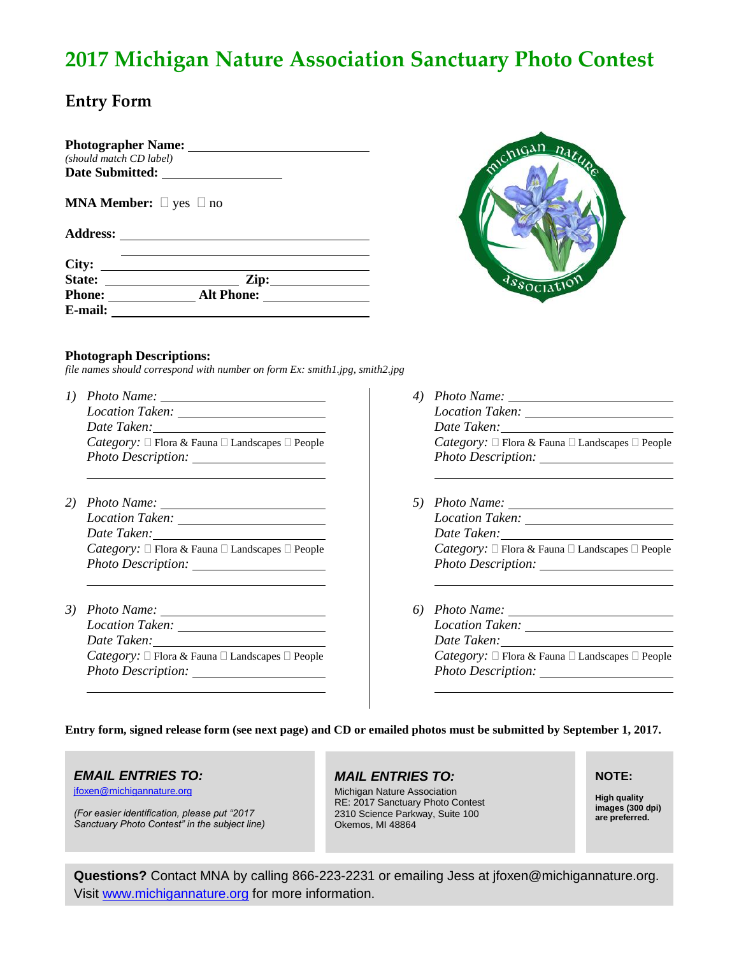# **2017 Michigan Nature Association Sanctuary Photo Contest**

## **Entry Form**

| <b>Photographer Name:</b> |  |
|---------------------------|--|
| (should match CD label)   |  |
| Date Submitted:           |  |
|                           |  |
|                           |  |

**MNA Member:**  $\Box$  yes  $\Box$  no

#### **Address:**

| City:         |                   |  |
|---------------|-------------------|--|
| <b>State:</b> | Zip:              |  |
| <b>Phone:</b> | <b>Alt Phone:</b> |  |
| E-mail:       |                   |  |



## **Photograph Descriptions:**

*file names should correspond with number on form Ex: smith1.jpg, smith2.jpg*

- *1) Photo Name: Location Taken: Date Taken: Category:*  $\Box$  Flora & Fauna  $\Box$  Landscapes  $\Box$  People *Photo Description:*
- *2) Photo Name: Location Taken: Date Taken: Category:*  $\Box$  Flora & Fauna  $\Box$  Landscapes  $\Box$  People *Photo Description:*
- *3) Photo Name: Location Taken: Date Taken: Category:*  $\Box$  Flora & Fauna  $\Box$  Landscapes  $\Box$  People *Photo Description:*
- *4) Photo Name: Location Taken: Date Taken: Category:*  $\Box$  Flora & Fauna  $\Box$  Landscapes  $\Box$  People *Photo Description:*
- *5) Photo Name: Location Taken: Date Taken: Category:*  $\Box$  Flora & Fauna  $\Box$  Landscapes  $\Box$  People *Photo Description:*
- *6) Photo Name: Location Taken: Date Taken: Category:*  $\Box$  Flora & Fauna  $\Box$  Landscapes  $\Box$  People *Photo Description:*

### **Entry form, signed release form (see next page) and CD or emailed photos must be submitted by September 1, 2017.**

## *EMAIL ENTRIES TO:*

[jfoxen@michigannature.org](mailto:jfoxen@michigannature.org)

*(For easier identification, please put "2017 Sanctuary Photo Contest" in the subject line)*

## *MAIL ENTRIES TO:*

Michigan Nature Association RE: 2017 Sanctuary Photo Contest 2310 Science Parkway, Suite 100 Okemos, MI 48864

## **NOTE:**

**High quality images (300 dpi) are preferred.** 

**Questions?** Contact MNA by calling 866-223-2231 or emailing Jess at jfoxen@michigannature.org. Visit [www.michigannature.org](http://www.michigannature.org/) for more information.